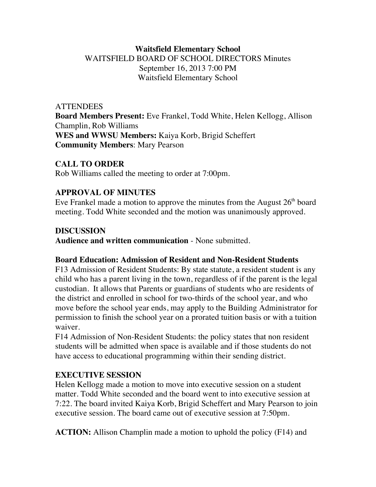## **Waitsfield Elementary School** WAITSFIELD BOARD OF SCHOOL DIRECTORS Minutes September 16, 2013 7:00 PM Waitsfield Elementary School

### **ATTENDEES**

**Board Members Present:** Eve Frankel, Todd White, Helen Kellogg, Allison Champlin, Rob Williams **WES and WWSU Members:** Kaiya Korb, Brigid Scheffert **Community Members**: Mary Pearson

## **CALL TO ORDER**

Rob Williams called the meeting to order at 7:00pm.

## **APPROVAL OF MINUTES**

Eve Frankel made a motion to approve the minutes from the August  $26<sup>th</sup>$  board meeting. Todd White seconded and the motion was unanimously approved.

## **DISCUSSION**

**Audience and written communication** - None submitted.

## **Board Education: Admission of Resident and Non-Resident Students**

F13 Admission of Resident Students: By state statute, a resident student is any child who has a parent living in the town, regardless of if the parent is the legal custodian. It allows that Parents or guardians of students who are residents of the district and enrolled in school for two-thirds of the school year, and who move before the school year ends, may apply to the Building Administrator for permission to finish the school year on a prorated tuition basis or with a tuition waiver.

F14 Admission of Non-Resident Students: the policy states that non resident students will be admitted when space is available and if those students do not have access to educational programming within their sending district.

## **EXECUTIVE SESSION**

Helen Kellogg made a motion to move into executive session on a student matter. Todd White seconded and the board went to into executive session at 7:22. The board invited Kaiya Korb, Brigid Scheffert and Mary Pearson to join executive session. The board came out of executive session at 7:50pm.

**ACTION:** Allison Champlin made a motion to uphold the policy (F14) and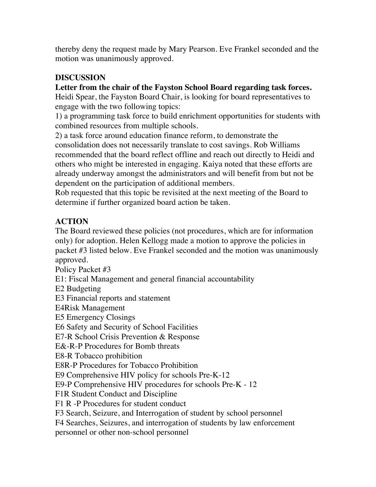thereby deny the request made by Mary Pearson. Eve Frankel seconded and the motion was unanimously approved.

## **DISCUSSION**

## **Letter from the chair of the Fayston School Board regarding task forces.**

Heidi Spear, the Fayston Board Chair, is looking for board representatives to engage with the two following topics:

1) a programming task force to build enrichment opportunities for students with combined resources from multiple schools.

2) a task force around education finance reform, to demonstrate the consolidation does not necessarily translate to cost savings. Rob Williams recommended that the board reflect offline and reach out directly to Heidi and others who might be interested in engaging. Kaiya noted that these efforts are already underway amongst the administrators and will benefit from but not be dependent on the participation of additional members.

Rob requested that this topic be revisited at the next meeting of the Board to determine if further organized board action be taken.

# **ACTION**

The Board reviewed these policies (not procedures, which are for information only) for adoption. Helen Kellogg made a motion to approve the policies in packet #3 listed below. Eve Frankel seconded and the motion was unanimously approved.

Policy Packet #3

E1: Fiscal Management and general financial accountability

E2 Budgeting

E3 Financial reports and statement

E4Risk Management

E5 Emergency Closings

E6 Safety and Security of School Facilities

E7-R School Crisis Prevention & Response

E&-R-P Procedures for Bomb threats

E8-R Tobacco prohibition

E8R-P Procedures for Tobacco Prohibition

E9 Comprehensive HIV policy for schools Pre-K-12

E9-P Comprehensive HIV procedures for schools Pre-K - 12

F1R Student Conduct and Discipline

F1 R -P Procedures for student conduct

F3 Search, Seizure, and Interrogation of student by school personnel

F4 Searches, Seizures, and interrogation of students by law enforcement personnel or other non-school personnel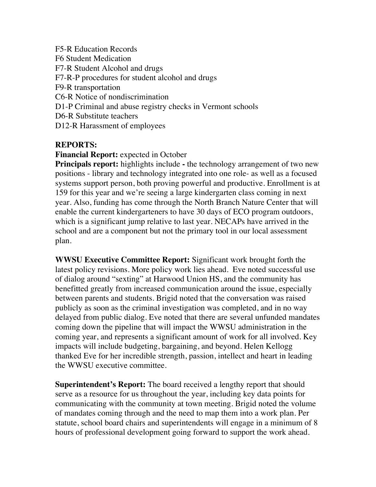F5-R Education Records F6 Student Medication F7-R Student Alcohol and drugs F7-R-P procedures for student alcohol and drugs F9-R transportation C6-R Notice of nondiscrimination D1-P Criminal and abuse registry checks in Vermont schools D6-R Substitute teachers D12-R Harassment of employees

### **REPORTS:**

### **Financial Report:** expected in October

**Principals report:** highlights include - the technology arrangement of two new positions - library and technology integrated into one role- as well as a focused systems support person, both proving powerful and productive. Enrollment is at 159 for this year and we're seeing a large kindergarten class coming in next year. Also, funding has come through the North Branch Nature Center that will enable the current kindergarteners to have 30 days of ECO program outdoors, which is a significant jump relative to last year. NECAPs have arrived in the school and are a component but not the primary tool in our local assessment plan.

**WWSU Executive Committee Report:** Significant work brought forth the latest policy revisions. More policy work lies ahead. Eve noted successful use of dialog around "sexting" at Harwood Union HS, and the community has benefitted greatly from increased communication around the issue, especially between parents and students. Brigid noted that the conversation was raised publicly as soon as the criminal investigation was completed, and in no way delayed from public dialog. Eve noted that there are several unfunded mandates coming down the pipeline that will impact the WWSU administration in the coming year, and represents a significant amount of work for all involved. Key impacts will include budgeting, bargaining, and beyond. Helen Kellogg thanked Eve for her incredible strength, passion, intellect and heart in leading the WWSU executive committee.

**Superintendent's Report:** The board received a lengthy report that should serve as a resource for us throughout the year, including key data points for communicating with the community at town meeting. Brigid noted the volume of mandates coming through and the need to map them into a work plan. Per statute, school board chairs and superintendents will engage in a minimum of 8 hours of professional development going forward to support the work ahead.